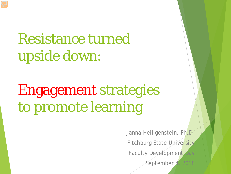# Resistance turned upside down:

# Engagement strategies to promote learning

Janna Heiligenstein, Ph.D. Fitchburg State University Faculty Development Day September 4, 2018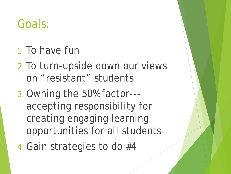#### Goals:

- 1.To have fun
- 2.To turn-upside down our views on "resistant" students
- 3.Owning the 50% factor-- accepting responsibility for creating engaging learning opportunities for all students
- 4.Gain strategies to do #4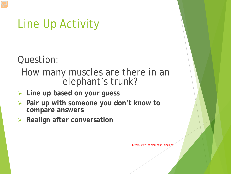## Line Up Activity

Question:

- How many muscles are there in an elephant's trunk?
- **Line up based on your guess**
- **Pair up with someone you don't know to compare answers**
- **Realign after conversation**

http://www.cs.cmu.edu/~bingbin/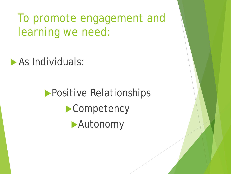To promote engagement and learning we need:

**As Individuals:** 

**Positive Relationships Competency Autonomy**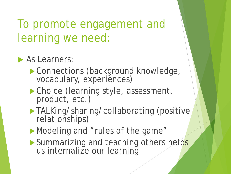#### To promote engagement and learning we need:

#### As Learners:

- Connections (background knowledge, vocabulary, experiences)
- ▶ Choice (learning style, assessment, product, etc.)
- TALKing/sharing/collaborating (positive relationships)
- Modeling and "rules of the game"
- Summarizing and teaching others helps us internalize our learning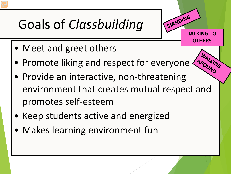# Goals of *Classbuilding*

- Meet and greet others
- Promote liking and respect for everyone
- Provide an interactive, non-threatening environment that creates mutual respect and promotes self-esteem

**TALKING TO** 

STANDING

**OTHERS**

- Keep students active and energized
- Makes learning environment fun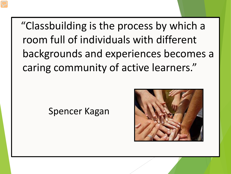"Classbuilding is the process by which a room full of individuals with different backgrounds and experiences becomes a caring community of active learners."

#### Spencer Kagan

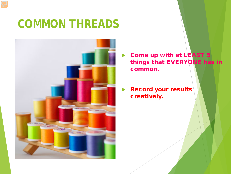## **COMMON THREADS**



 Come up with at LEAST 5 things that EVERYONE has in common.

 Record your results creatively.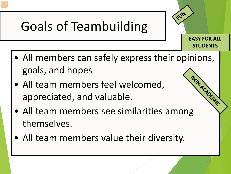# Goals of Teambuilding

• All members can safely express their opinions, goals, and hopes

**EASY FOR ALL** 

FUN

**STUDENTS**

- All team members feel welcomed, appreciated, and valuable. • All team members feel welcomed,<br>appreciated, and valuable.<br>• All team members see similarities among
- themselves.
- All team members value their diversity.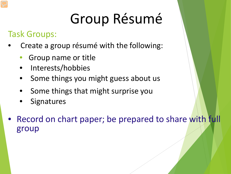# Group Résumé

#### Task Groups:

- Create a group résumé with the following:
	- Group name or title
	- Interests/hobbies
	- Some things you might guess about us
	- Some things that might surprise you
	- **Signatures**
- Record on chart paper; be prepared to share with full group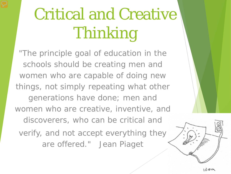# Critical and Creative Thinking

"The principle goal of education in the schools should be creating men and women who are capable of doing new things, not simply repeating what other generations have done; men and women who are creative, inventive, and discoverers, who can be critical and verify, and not accept everything they are offered." Jean Piaget

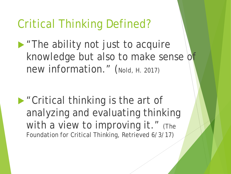#### Critical Thinking Defined?

**The ability not just to acquire** knowledge but also to make sense of new information." (Nold, H. 2017)

**• "Critical thinking is the art of** analyzing and evaluating thinking with a view to improving it." (The Foundation for Critical Thinking, Retrieved 6/3/17)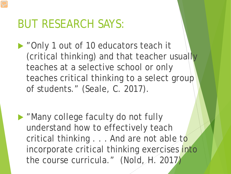#### BUT RESEARCH SAYS:

▶ "Only 1 out of 10 educators teach it (critical thinking) and that teacher usually teaches at a selective school or only teaches critical thinking to a select group of students." (Seale, C. 2017).

**Many college faculty do not fully** understand how to effectively teach critical thinking . . . And are not able to incorporate critical thinking exercises into the course curricula." (Nold, H. 2017)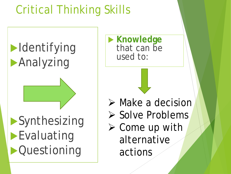## Critical Thinking Skills

 $\blacktriangleright$ Identifying **Analyzing Synthesizing Evaluating Cuestioning** 

**Knowledge** that can be used to:

 $\triangleright$  Make a decision

- $\triangleright$  Solve Problems
- $\triangleright$  Come up with alternative actions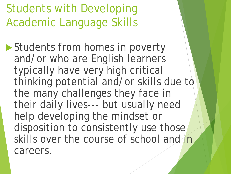Students with Developing Academic Language Skills

Students from homes in poverty and/or who are English learners typically have very high critical thinking potential and/or skills due to the many challenges they face in their daily lives--- but usually need help developing the mindset or disposition to consistently use those skills over the course of school and in careers.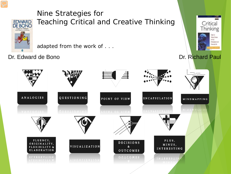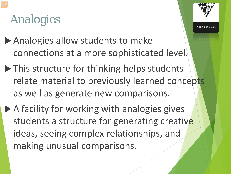## Analogies

- Analogies allow students to make connections at a more sophisticated level.
- ▶ This structure for thinking helps students relate material to previously learned concepts as well as generate new comparisons.
- ▶ A facility for working with analogies gives students a structure for generating creative ideas, seeing complex relationships, and making unusual comparisons.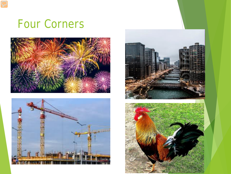#### 1 Four Corners







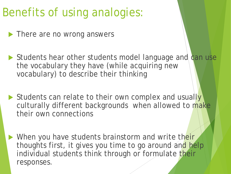## Benefits of using analogies:

**There are no wrong answers** 

- Students hear other students model language and can use the vocabulary they have (while acquiring new vocabulary) to describe their thinking
- Students can relate to their own complex and usually culturally different backgrounds when allowed to make their own connections
- When you have students brainstorm and write their thoughts first, it gives you time to go around and help individual students think through or formulate their responses.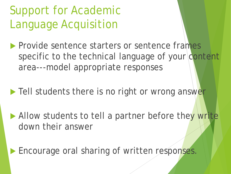## Support for Academic Language Acquisition

**Provide sentence starters or sentence frames** specific to the technical language of your content area---model appropriate responses

Tell students there is no right or wrong answer

Allow students to tell a partner before they write down their answer

**Encourage oral sharing of written responses.**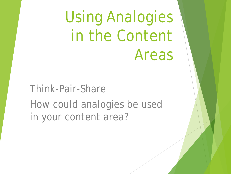Using Analogies in the Content Areas

Think-Pair-Share How could analogies be used in your content area?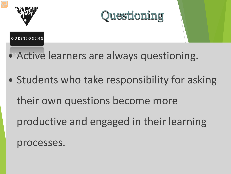



#### **OUESTIONING**

- Active learners are always questioning.
- Students who take responsibility for asking their own questions become more productive and engaged in their learning processes.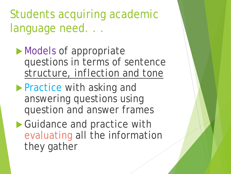Students acquiring academic language need. . .

- Models of appropriate questions in terms of sentence *structure, inflection and tone*
- **Practice with asking and** answering questions using question and answer frames
- ▶ Guidance and practice with evaluating all the information they gather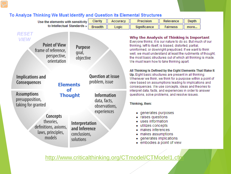| Use the elements with sensitivity                                                                                                           | Clarity                                                                                                                                                    | Accuracy | Precision                                                                                                                                                                                                                                                                                                                                                                                                    | Relevance       | <b>Depth</b> |  |
|---------------------------------------------------------------------------------------------------------------------------------------------|------------------------------------------------------------------------------------------------------------------------------------------------------------|----------|--------------------------------------------------------------------------------------------------------------------------------------------------------------------------------------------------------------------------------------------------------------------------------------------------------------------------------------------------------------------------------------------------------------|-----------------|--------------|--|
| to Intellectual Standards »                                                                                                                 | <b>Breadth</b>                                                                                                                                             | Logic    | Significance                                                                                                                                                                                                                                                                                                                                                                                                 | <b>Fairness</b> | more         |  |
| <b>RESET</b><br><b>VIEW</b><br><b>Point of View</b><br>Purpose<br>frame of reference,<br>goal,<br>perspective,<br>objective<br>orientation  |                                                                                                                                                            |          | Why the Analysis of Thinking is Important<br>Everyone thinks; it is our nature to do so. But much of our<br>thinking, left to itself, is biased, distorted, partial,<br>uninformed, or downright prejudiced. If we want to think<br>well, we must understand at least the rudiments of thought,<br>the most basic structures out of which all thinking is made.<br>We must learn how to take thinking apart. |                 |              |  |
| <b>Question at issue</b><br><b>Implications and</b><br>problem, issue<br><b>Consequences</b><br><b>Elements</b>                             |                                                                                                                                                            |          | All Thinking Is Defined by the Eight Elements That Make It<br>Up. Eight basic structures are present in all thinking:<br>Whenever we think, we think for a purpose within a point of<br>view based on assumptions leading to implications and<br>consequences. We use concepts, ideas and theories to                                                                                                        |                 |              |  |
| <b>Assumptions</b><br>presupposition,<br>taking for granted<br>Concepts<br>theories,<br>definitions, axioms,<br>laws, principles,<br>models | оf<br><b>Information</b><br><b>Thought</b><br>data, facts,<br>observations,<br>experiences<br>Interpretation<br>and Inference<br>conclusions,<br>solutions |          | interpret data, facts, and experiences in order to answer<br>questions, solve problems, and resolve issues.<br>Thinking, then:<br>• generates purposes<br>raises questions<br>uses information<br>utilizes concepts<br>• makes inferences<br>makes assumptions<br>generates implications<br>embodies a point of view                                                                                         |                 |              |  |

To Analyze Thinking We Must Identify and Question its Elemental Structures

<http://www.criticalthinking.org/CTmodel/CTModel1.cfm>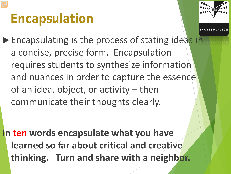# **Encapsulation**



▶ Encapsulating is the process of stating ideas in a concise, precise form. Encapsulation requires students to synthesize information and nuances in order to capture the essence of an idea, object, or activity – then communicate their thoughts clearly.

**In ten words encapsulate what you have learned so far about critical and creative thinking. Turn and share with a neighbor.**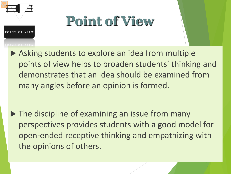

OF VIRW

# **Point of View**

▶ Asking students to explore an idea from multiple points of view helps to broaden students' thinking and demonstrates that an idea should be examined from many angles before an opinion is formed.

 $\triangleright$  The discipline of examining an issue from many perspectives provides students with a good model for open-ended receptive thinking and empathizing with the opinions of others.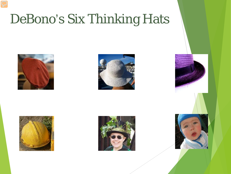# DeBono's Six Thinking Hats











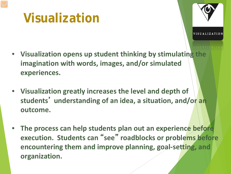## **Visualization**

- **Visualization opens up student thinking by stimulating the imagination with words, images, and/or simulated experiences.**
- **Visualization greatly increases the level and depth of students**' **understanding of an idea, a situation, and/or an outcome.**
- **The process can help students plan out an experience before execution. Students can** " **see** " **roadblocks or problems before encountering them and improve planning, goal-setting, and organization.**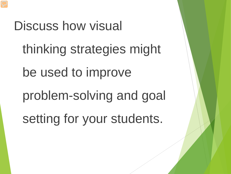Discuss how visual thinking strategies might be used to improve problem-solving and goal setting for your students.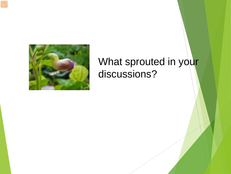

#### What sprouted in your discussions?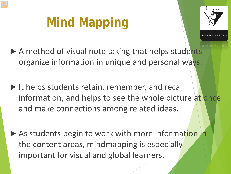# **Mind Mapping**



- 
- $\triangleright$  A method of visual note taking that helps students organize information in unique and personal ways.
- $\blacktriangleright$  It helps students retain, remember, and recall information, and helps to see the whole picture at once and make connections among related ideas.
- As students begin to work with more information in the content areas, mindmapping is especially important for visual and global learners.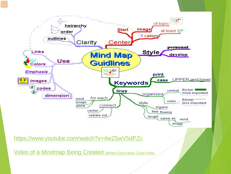

<https://www.youtube.com/watch?v=4wZ5wV5dPZc>

Video of a Mindmap [Being Created \(Where Good Ideas Come From\)](http://www.youtube.com/watch?v=NugRZGDbPFU&feature=related)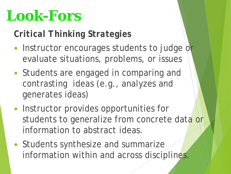# **Look-Fors**

#### *Critical Thinking Strategies*

- Instructor encourages students to judge or evaluate situations, problems, or issues
- Students are engaged in comparing and contrasting ideas (e.g., analyzes and generates ideas)
- Instructor provides opportunities for students to generalize from concrete data or information to abstract ideas.
- Students synthesize and summarize information within and across disciplines.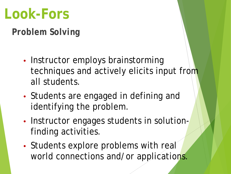# **Look-Fors**

*Problem Solving*

- Instructor employs brainstorming techniques and actively elicits input from all students.
- Students are engaged in defining and identifying the problem.
- Instructor engages students in solutionfinding activities.
- Students explore problems with real world connections and/or applications.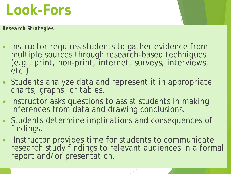# **Look-Fors**

*Research Strategies*

- Instructor requires students to gather evidence from<br>multiple sources through research-based techniques (e.g., print, non-print, internet, surveys, interviews, etc.).
- Students analyze data and represent it in appropriate charts, graphs, or tables.
- Instructor asks questions to assist students in making inferences from data and drawing conclusions.
- Students determine implications and consequences of findings.
- Instructor provides time for students to communicate research study findings to relevant audiences in a formal report and/or presentation.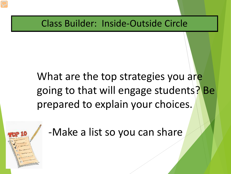Class Builder: Inside-Outside Circle

## What are the top strategies you are going to that will engage students? Be prepared to explain your choices.



-Make a list so you can share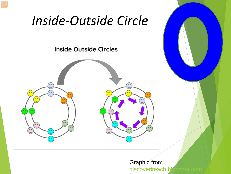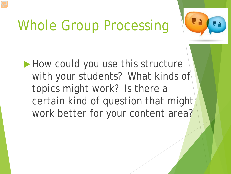# Whole Group Processing



How could you use this structure with your students? What kinds of topics might work? Is there a certain kind of question that might work better for your content area?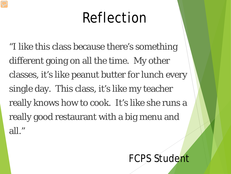# Reflection

"I like this class because there's something different going on all the time. My other classes, it's like peanut butter for lunch every single day. This class, it's like my teacher really knows how to cook. It's like she runs a really good restaurant with a big menu and all."

#### FCPS Student